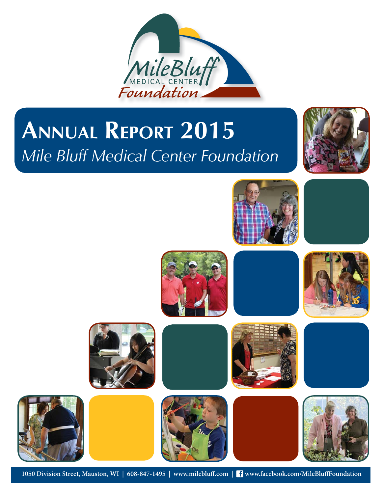

# **ANNUAL REPORT 2015** *Mile Bluff Medical Center Foundation*



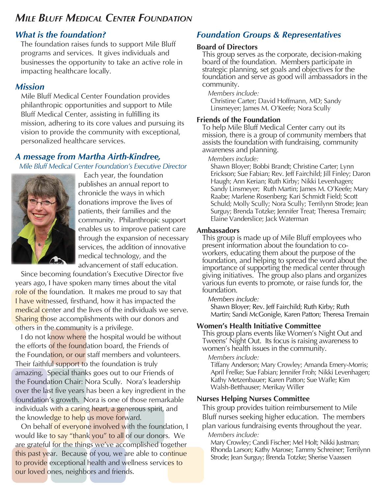# *MILE BLUFF MEDICAL CENTER FOUNDATION*

# *What is the foundation?*

The foundation raises funds to support Mile Bluff programs and services. It gives individuals and businesses the opportunity to take an active role in impacting healthcare locally.

# *Mission*

Mile Bluff Medical Center Foundation provides philanthropic opportunities and support to Mile Bluff Medical Center, assisting in fulfilling its mission, adhering to its core values and pursuing its vision to provide the community with exceptional, personalized healthcare services.

# *A message from Martha Airth-Kindree,*

 *Mile Bluff Medical Center Foundation's Executive Director*



Each year, the foundation publishes an annual report to chronicle the ways in which donations improve the lives of patients, their families and the community. Philanthropic support enables us to improve patient care through the expansion of necessary services, the addition of innovative medical technology, and the advancement of staff education.

Since becoming foundation's Executive Director five years ago, I have spoken many times about the vital role of the foundation. It makes me proud to say that I have witnessed, firsthand, how it has impacted the medical center and the lives of the individuals we serve. Sharing those accomplishments with our donors and others in the community is a privilege.

I do not know where the hospital would be without the efforts of the foundation board, the Friends of the Foundation, or our staff members and volunteers. Their faithful support to the foundation is truly amazing. Special thanks goes out to our Friends of the Foundation Chair: Nora Scully. Nora's leadership over the last five years has been a key ingredient in the foundation's growth. Nora is one of those remarkable individuals with a caring heart, a generous spirit, and the knowledge to help us move forward.

On behalf of everyone involved with the foundation, I would like to say "thank you" to all of our donors. We are grateful for the things we've accomplished together this past year. Because of you, we are able to continue to provide exceptional health and wellness services to our loved ones, neighbors and friends.

# *Foundation Groups & Representatives*

#### **Board of Directors**

This group serves as the corporate, decision-making board of the foundation. Members participate in strategic planning, set goals and objectives for the foundation and serve as good will ambassadors in the community.

*Members include:* Christine Carter; David Hoffmann, MD; Sandy Linsmeyer; James M. O'Keefe; Nora Scully

#### **Friends of the Foundation**

To help Mile Bluff Medical Center carry out its mission, there is a group of community members that assists the foundation with fundraising, community awareness and planning.

#### *Members include:*

Shawn Bloyer; Bobbi Brandt; Christine Carter; Lynn Erickson; Sue Fabian; Rev. Jeff Fairchild; Jill Finley; Daron Haugh; Ann Kerian; Ruth Kirby; Nikki Levenhagen; Sandy Linsmeyer; Ruth Martin; James M. O'Keefe; Mary Raabe; Marlene Rosenberg; Kari Schmidt Field; Scott Schuld; Molly Scully; Nora Scully; Terrilynn Strode; Jean Surguy; Brenda Totzke; Jennifer Treat; Theresa Tremain; Elaine Vanderslice; Jack Waterman

#### **Ambassadors**

This group is made up of Mile Bluff employees who present information about the foundation to coworkers, educating them about the purpose of the foundation, and helping to spread the word about the importance of supporting the medical center through giving initiatives. The group also plans and organizes various fun events to promote, or raise funds for, the foundation.

#### *Members include:*

Shawn Bloyer; Rev. Jeff Fairchild; Ruth Kirby; Ruth Martin; Sandi McGonigle, Karen Patton; Theresa Tremain

#### **Women's Health Initiative Committee**

This group plans events like Women's Night Out and Tweens' Night Out. Its focus is raising awareness to women's health issues in the community.

#### *Members include:*

Tiffany Anderson; Mary Crowley; Amanda Emery-Morris; April Frelke; Sue Fabian; Jennifer Froh; Nikki Levenhagen; Kathy Metzenbauer; Karen Patton; Sue Wafle; Kim Walsh-Betthauser; Merikay Willer

#### **Nurses Helping Nurses Committee**

This group provides tuition reimbursement to Mile Bluff nurses seeking higher education. The members plan various fundraising events throughout the year. *Members include:*

Mary Crowley; Candi Fischer; Mel Holt; Nikki Justman; Rhonda Larson; Kathy Marose; Tammy Schreiner; Terrilynn Strode; Jean Surguy; Brenda Totzke; Sherise Vaassen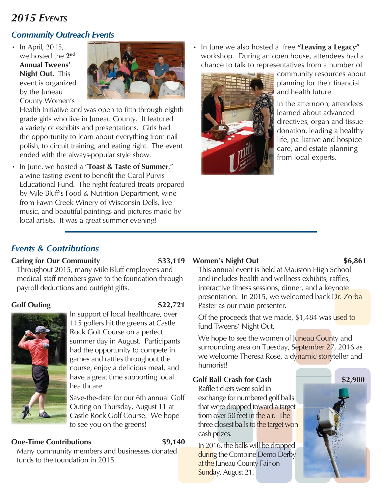# *2015 EVENTS*

# *Community Outreach Events*

• In April, 2015, we hosted the **2nd Annual Tweens' Night Out.** This event is organized by the Juneau County Women's



Health Initiative and was open to fifth through eighth grade girls who live in Juneau County. It featured a variety of exhibits and presentations. Girls had the opportunity to learn about everything from nail polish, to circuit training, and eating right. The event ended with the always-popular style show.

• In June, we hosted a "**Toast & Taste of Summer**," a wine tasting event to benefit the Carol Purvis Educational Fund. The night featured treats prepared by Mile Bluff's Food & Nutrition Department, wine from Fawn Creek Winery of Wisconsin Dells, live music, and beautiful paintings and pictures made by local artists. It was a great summer evening!

• In June we also hosted a free **"Leaving a Legacy"**  workshop. During an open house, attendees had a chance to talk to representatives from a number of



community resources about planning for their financial and health future.

In the afternoon, attendees learned about advanced directives, organ and tissue donation, leading a healthy life, palliative and hospice care, and estate planning from local experts.

# *Events & Contributions*

# **Caring for Our Community 533,119**

Throughout 2015, many Mile Bluff employees and medical staff members gave to the foundation through payroll deductions and outright gifts.

# **Golf Outing \$22,721**



In support of local healthcare, over 115 golfers hit the greens at Castle Rock Golf Course on a perfect summer day in August. Participants had the opportunity to compete in games and raffles throughout the course, enjoy a delicious meal, and have a great time supporting local healthcare.

Save-the-date for our 6th annual Golf Outing on Thursday, August 11 at Castle Rock Golf Course. We hope to see you on the greens!

# **One-Time Contributions** \$9,140

Many community members and businesses donated funds to the foundation in 2015.

# Women's Night Out \$6,861

This annual event is held at Mauston High School and includes health and wellness exhibits, raffles, interactive fitness sessions, dinner, and a keynote presentation. In 2015, we welcomed back Dr. Zorba Paster as our main presenter.

Of the proceeds that we made, \$1,484 was used to fund Tweens' Night Out.

We hope to see the women of Juneau County and surrounding area on Tuesday, September 27, 2016 as we welcome Theresa Rose, a dynamic storyteller and humorist!

# **Golf Ball Crash for Cash**

Raffle tickets were sold in exchange for numbered golf balls that were dropped toward a target from over 50 feet in the air. The three closest balls to the target won cash prizes.

In 2016, the balls will be dropped during the Combine Demo Derby at the Juneau County Fair on Sunday, August 21.

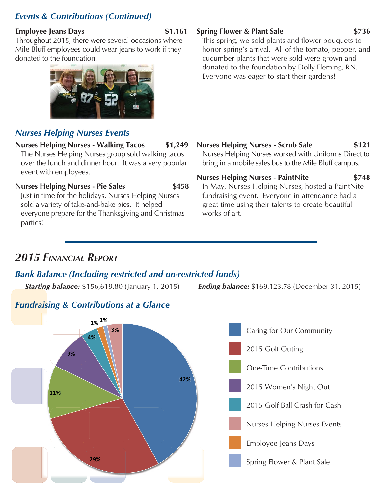# *Events & Contributions (Continued)*

#### **Employee Jeans Days** \$1,161

Throughout 2015, there were several occasions where Mile Bluff employees could wear jeans to work if they donated to the foundation.



# *Nurses Helping Nurses Events*

# **Nurses Helping Nurses - Walking Tacos \$1,249**

The Nurses Helping Nurses group sold walking tacos over the lunch and dinner hour. It was a very popular event with employees.

**Nurses Helping Nurses - Pie Sales \$458**

Just in time for the holidays, Nurses Helping Nurses sold a variety of take-and-bake pies. It helped everyone prepare for the Thanksgiving and Christmas parties!

**Spring Flower & Plant Sale \$736**

This spring, we sold plants and flower bouquets to honor spring's arrival. All of the tomato, pepper, and cucumber plants that were sold were grown and donated to the foundation by Dolly Fleming, RN. Everyone was eager to start their gardens!

**Nurses Helping Nurses - Scrub Sale \$121** Nurses Helping Nurses worked with Uniforms Direct to bring in a mobile sales bus to the Mile Bluff campus.

**Nurses Helping Nurses - PaintNite \$748** In May, Nurses Helping Nurses, hosted a PaintNite fundraising event. Everyone in attendance had a great time using their talents to create beautiful works of art.

# *2015 FINANCIAL REPORT*

# *Bank Balance (Including restricted and un-restricted funds)*

*Starting balance:* \$156,619.80 (January 1, 2015) *Ending balance:* \$169,123.78 (December 31, 2015)





# *Fundraising & Contributions at a Glance*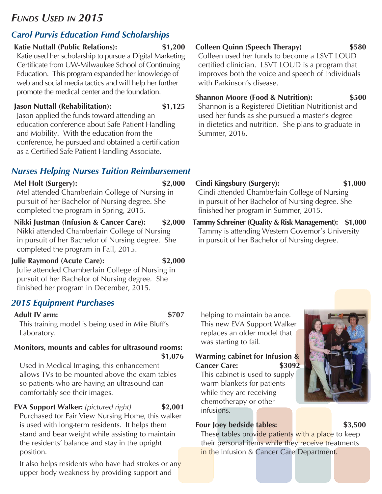# *FUNDS USED IN 2015*

# *Carol Purvis Education Fund Scholarships*

### **Katie Nuttall (Public Relations): \$1,200**

Katie used her scholarship to pursue a Digital Marketing Certificate from UW-Milwaukee School of Continuing Education. This program expanded her knowledge of web and social media tactics and will help her further promote the medical center and the foundation.

#### **Jason Nuttall (Rehabilitation): \$1,125**

Jason applied the funds toward attending an education conference about Safe Patient Handling and Mobility. With the education from the conference, he pursued and obtained a certification as a Certified Safe Patient Handling Associate.

# *Nurses Helping Nurses Tuition Reimbursement*

**Mel Holt (Surgery): \$2,000** Mel attended Chamberlain College of Nursing in pursuit of her Bachelor of Nursing degree. She completed the program in Spring, 2015.

**Nikki Justman (Infusion & Cancer Care): \$2,000** Nikki attended Chamberlain College of Nursing in pursuit of her Bachelor of Nursing degree. She completed the program in Fall, 2015.

### **Julie Raymond (Acute Care): \$2,000**

Julie attended Chamberlain College of Nursing in pursuit of her Bachelor of Nursing degree. She finished her program in December, 2015.

# *2015 Equipment Purchases*

### **Adult IV arm: \$707**

This training model is being used in Mile Bluff's Laboratory.

# **Monitors, mounts and cables for ultrasound rooms: \$1,076**

Used in Medical Imaging, this enhancement allows TVs to be mounted above the exam tables so patients who are having an ultrasound can comfortably see their images.

# **EVA Support Walker:** *(pictured right)* **\$2,001**

Purchased for Fair View Nursing Home, this walker is used with long-term residents. It helps them stand and bear weight while assisting to maintain the residents' balance and stay in the upright position.

It also helps residents who have had strokes or any upper body weakness by providing support and

**Colleen Quinn (Speech Therapy) \$580**

Colleen used her funds to become a LSVT LOUD certified clinician. LSVT LOUD is a program that improves both the voice and speech of individuals with Parkinson's disease

# **Shannon Moore (Food & Nutrition): \$500**

Shannon is a Registered Dietitian Nutritionist and used her funds as she pursued a master's degree in dietetics and nutrition. She plans to graduate in Summer, 2016.

- **Cindi Kingsbury (Surgery): \$1,000** Cindi attended Chamberlain College of Nursing in pursuit of her Bachelor of Nursing degree. She finished her program in Summer, 2015.
- **Tammy Schreiner (Quality & Risk Management): \$1,000** Tammy is attending Western Governor's University in pursuit of her Bachelor of Nursing degree.

# was starting to fail. **Warming cabinet for Infusion &**

helping to maintain balance. This new EVA Support Walker replaces an older model that

# **Cancer Care: \$3092**

This cabinet is used to supply warm blankets for patients while they are receiving chemotherapy or other infusions.

# **Four Joey bedside tables: \$3,500**

These tables provide patients with a place to keep their personal items while they receive treatments in the Infusion & Cancer Care Department.

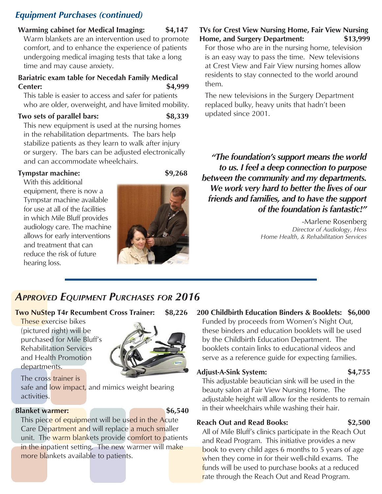# *Equipment Purchases (continued)*

**Warming cabinet for Medical Imaging: \$4,147** Warm blankets are an intervention used to promote comfort, and to enhance the experience of patients undergoing medical imaging tests that take a long time and may cause anxiety.

#### **Bariatric exam table for Necedah Family Medical Center: \$4,999**

This table is easier to access and safer for patients who are older, overweight, and have limited mobility.

#### **Two sets of parallel bars: \$8,339**

This new equipment is used at the nursing homes in the rehabilitation departments. The bars help stabilize patients as they learn to walk after injury or surgery. The bars can be adjusted electronically and can accommodate wheelchairs.

#### **Tympstar machine: \$9,268**

With this additional equipment, there is now a Tympstar machine available for use at all of the facilities in which Mile Bluff provides audiology care. The machine allows for early interventions and treatment that can reduce the risk of future hearing loss.



### **TVs for Crest View Nursing Home, Fair View Nursing Home, and Surgery Department: \$13,999**

For those who are in the nursing home, television is an easy way to pass the time. New televisions at Crest View and Fair View nursing homes allow residents to stay connected to the world around them.

The new televisions in the Surgery Department replaced bulky, heavy units that hadn't been updated since 2001.

*"The foundation's support means the world to us. I feel a deep connection to purpose between the community and my departments. We work very hard to better the lives of our friends and families, and to have the support of the foundation is fantastic!"* 

> -Marlene Rosenberg *Director of Audiology, Hess Home Health, & Rehabilitation Services*

# *APPROVED EQUIPMENT PURCHASES FOR 2016*

#### **Two NuStep T4r Recumbent Cross Trainer: \$8,226**

These exercise bikes (pictured right) will be purchased for Mile Bluff's Rehabilitation Services and Health Promotion departments.



The cross trainer is safe and low impact, and mimics weight bearing activities.

#### **Blanket warmer:** \$6,540

This piece of equipment will be used in the Acute Care Department and will replace a much smaller unit. The warm blankets provide comfort to patients in the inpatient setting. The new warmer will make more blankets available to patients.

# **200 Childbirth Education Binders & Booklets: \$6,000**

Funded by proceeds from Women's Night Out, these binders and education booklets will be used by the Childbirth Education Department. The booklets contain links to educational videos and serve as a reference guide for expecting families.

### **Adjust-A-Sink System: \$4,755**

This adjustable beautician sink will be used in the beauty salon at Fair View Nursing Home. The adjustable height will allow for the residents to remain in their wheelchairs while washing their hair.

rate through the Reach Out and Read Program.

### **Reach Out and Read Books: \$2,500**

All of Mile Bluff's clinics participate in the Reach Out and Read Program. This initiative provides a new book to every child ages 6 months to 5 years of age when they come in for their well-child exams. The funds will be used to purchase books at a reduced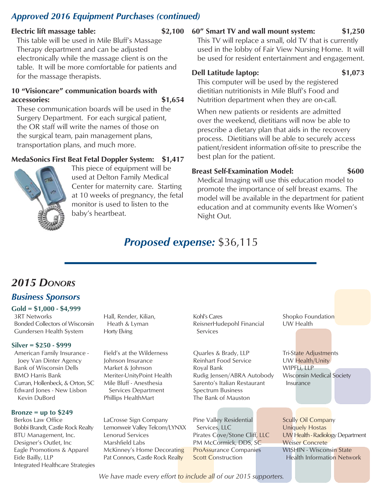# *Approved 2016 Equipment Purchases (continued)*

#### **Electric lift massage table: \$2,100**

This table will be used in Mile Bluff's Massage Therapy department and can be adjusted electronically while the massage client is on the table. It will be more comfortable for patients and for the massage therapists.

#### **10 "Visioncare" communication boards with accessories: \$1,654**

These communication boards will be used in the Surgery Department. For each surgical patient, the OR staff will write the names of those on the surgical team, pain management plans, transportation plans, and much more.

### **MedaSonics First Beat Fetal Doppler System: \$1,417**



This piece of equipment will be used at Delton Family Medical Center for maternity care. Starting at 10 weeks of pregnancy, the fetal monitor is used to listen to the baby's heartbeat.

#### **60" Smart TV and wall mount system: \$1,250**

This TV will replace a small, old TV that is currently used in the lobby of Fair View Nursing Home. It will be used for resident entertainment and engagement.

#### **Dell Latitude laptop: \$1,073**

This computer will be used by the registered dietitian nutritionists in Mile Bluff's Food and Nutrition department when they are on-call.

When new patients or residents are admitted over the weekend, dietitians will now be able to prescribe a dietary plan that aids in the recovery process. Dietitians will be able to securely access patient/resident information off-site to prescribe the best plan for the patient.

#### **Breast Self-Examination Model: \$600**

Medical Imaging will use this education model to promote the importance of self breast exams. The model will be available in the department for patient education and at community events like Women's Night Out.

# *Proposed expense:* \$36,115

# *2015 DONORS*

# *Business Sponsors*

**Gold = \$1,000 - \$4,999** 3RT Networks Bonded Collectors of Wisconsin Gundersen Health System

#### **Silver = \$250 - \$999**

American Family Insurance - Joey Van Dinter Agency Bank of Wisconsin Dells BMO Harris Bank Curran, Hollenbeck, & Orton, SC Edward Jones - New Lisbon Kevin DuBord

#### **Bronze = up to \$249**

Berkos Law Office Bobbi Brandt, Castle Rock Realty BTU Management, Inc. Designer's Outlet, Inc Eagle Promotions & Apparel Eide Bailly, LLP Integrated Healthcare Strategies Hall, Render, Kilian, Heath & Lyman Horty Elving

Field's at the Wilderness Johnson Insurance Market & Johnson Meriter-UnityPoint Health Mile Bluff - Anesthesia Services Department Phillips HealthMart

LaCrosse Sign Company Lemonweir Valley Telcom/LYNXX Lenorud Services Marshfield Labs McKinney's Home Decorating Pat Connors, Castle Rock Realty

Kohl's Cares ReisnerHudepohl Financial Services

Quarles & Brady, LLP Reinhart Food Service Royal Bank Rudig Jensen/ABRA Autobody Sarento's Italian Restaurant Spectrum Business The Bank of Mauston

Pine Valley Residential Services, LLC Pirates Cove/Stone Cliff, LLC PM McCormick, DDS, SC ProAssurance Companies **Scott Construction** 

Shopko Foundation UW Health

Tri-State Adjustments UW Health/Unity WIPFLi, LLP Wisconsin Medical Society Insurance

Scully Oil Company Uniquely Hostas UW Health - Radiology Department Weiser Concrete WISHIN - Wisconsin State Health Information Network

*We have made every effort to include all of our 2015 supporters.*